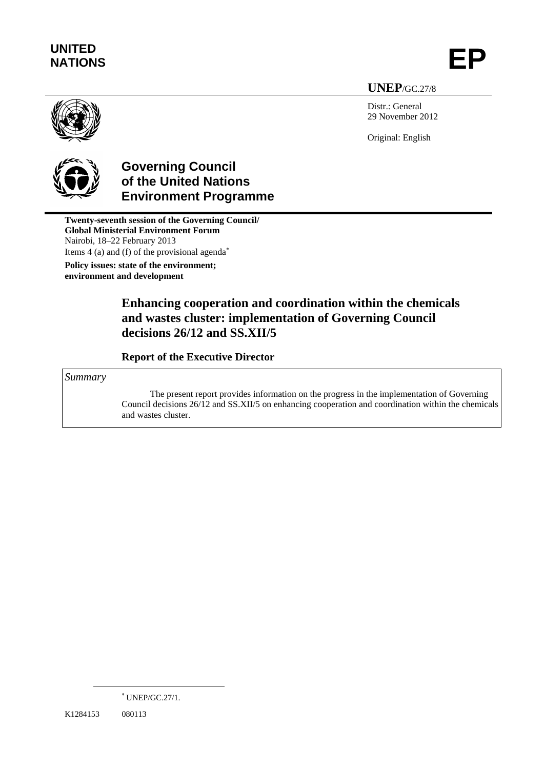# **UNITED**  UNITED<br>NATIONS **EP**

**UNEP**/GC.27/8

Distr.: General 29 November 2012

Original: English



## **Governing Council of the United Nations Environment Programme**

**Twenty-seventh session of the Governing Council/ Global Ministerial Environment Forum**  Nairobi, 18–22 February 2013 Items 4 (a) and (f) of the provisional agenda<sup>∗</sup> **Policy issues: state of the environment; environment and development**

## **Enhancing cooperation and coordination within the chemicals and wastes cluster: implementation of Governing Council decisions 26/12 and SS.XII/5**

 **Report of the Executive Director** 

*Summary* 

The present report provides information on the progress in the implementation of Governing Council decisions 26/12 and SS.XII/5 on enhancing cooperation and coordination within the chemicals and wastes cluster.

 $\overline{a}$ 

<sup>∗</sup> UNEP/GC.27/1.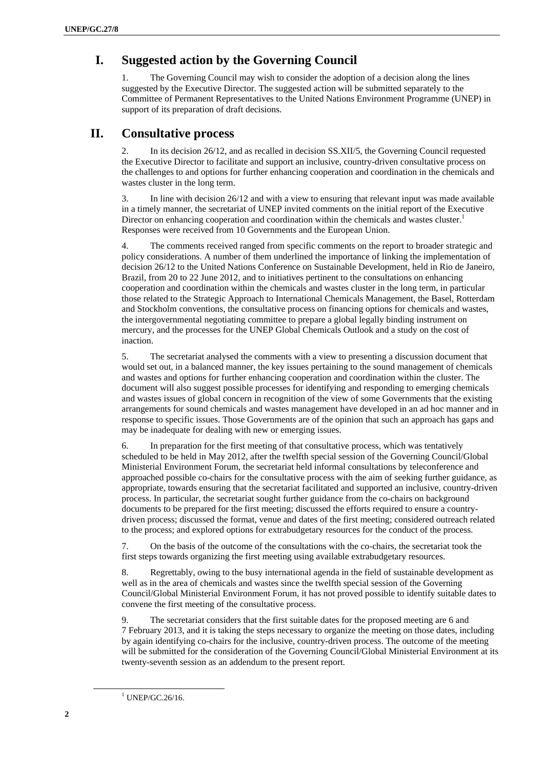#### **I. Suggested action by the Governing Council**

1. The Governing Council may wish to consider the adoption of a decision along the lines suggested by the Executive Director. The suggested action will be submitted separately to the Committee of Permanent Representatives to the United Nations Environment Programme (UNEP) in support of its preparation of draft decisions.

#### **II. Consultative process**

2. In its decision 26/12, and as recalled in decision SS.XII/5, the Governing Council requested the Executive Director to facilitate and support an inclusive, country-driven consultative process on the challenges to and options for further enhancing cooperation and coordination in the chemicals and wastes cluster in the long term.

3. In line with decision 26/12 and with a view to ensuring that relevant input was made available in a timely manner, the secretariat of UNEP invited comments on the initial report of the Executive Director on enhancing cooperation and coordination within the chemicals and wastes cluster. $<sup>1</sup>$ </sup> Responses were received from 10 Governments and the European Union.

4. The comments received ranged from specific comments on the report to broader strategic and policy considerations. A number of them underlined the importance of linking the implementation of decision 26/12 to the United Nations Conference on Sustainable Development, held in Rio de Janeiro, Brazil, from 20 to 22 June 2012, and to initiatives pertinent to the consultations on enhancing cooperation and coordination within the chemicals and wastes cluster in the long term, in particular those related to the Strategic Approach to International Chemicals Management, the Basel, Rotterdam and Stockholm conventions, the consultative process on financing options for chemicals and wastes, the intergovernmental negotiating committee to prepare a global legally binding instrument on mercury, and the processes for the UNEP Global Chemicals Outlook and a study on the cost of inaction.

5. The secretariat analysed the comments with a view to presenting a discussion document that would set out, in a balanced manner, the key issues pertaining to the sound management of chemicals and wastes and options for further enhancing cooperation and coordination within the cluster. The document will also suggest possible processes for identifying and responding to emerging chemicals and wastes issues of global concern in recognition of the view of some Governments that the existing arrangements for sound chemicals and wastes management have developed in an ad hoc manner and in response to specific issues. Those Governments are of the opinion that such an approach has gaps and may be inadequate for dealing with new or emerging issues.

6. In preparation for the first meeting of that consultative process, which was tentatively scheduled to be held in May 2012, after the twelfth special session of the Governing Council/Global Ministerial Environment Forum, the secretariat held informal consultations by teleconference and approached possible co-chairs for the consultative process with the aim of seeking further guidance, as appropriate, towards ensuring that the secretariat facilitated and supported an inclusive, country-driven process. In particular, the secretariat sought further guidance from the co-chairs on background documents to be prepared for the first meeting; discussed the efforts required to ensure a countrydriven process; discussed the format, venue and dates of the first meeting; considered outreach related to the process; and explored options for extrabudgetary resources for the conduct of the process.

7. On the basis of the outcome of the consultations with the co-chairs, the secretariat took the first steps towards organizing the first meeting using available extrabudgetary resources.

8. Regrettably, owing to the busy international agenda in the field of sustainable development as well as in the area of chemicals and wastes since the twelfth special session of the Governing Council/Global Ministerial Environment Forum, it has not proved possible to identify suitable dates to convene the first meeting of the consultative process.

9. The secretariat considers that the first suitable dates for the proposed meeting are 6 and 7 February 2013, and it is taking the steps necessary to organize the meeting on those dates, including by again identifying co-chairs for the inclusive, country-driven process. The outcome of the meeting will be submitted for the consideration of the Governing Council/Global Ministerial Environment at its twenty-seventh session as an addendum to the present report.

<u>1</u>

 $1$  UNEP/GC.26/16.